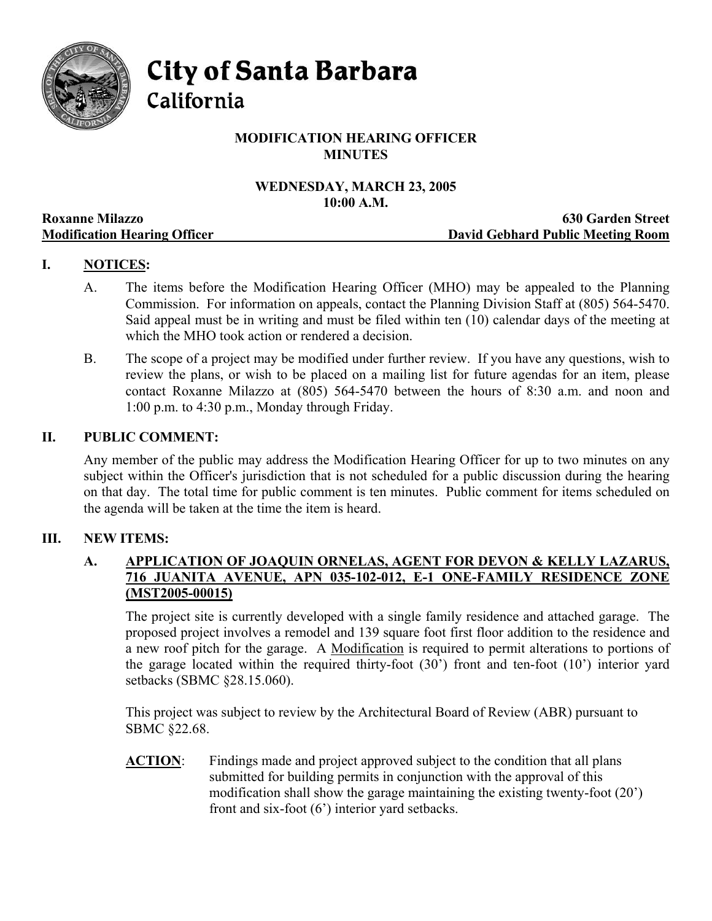

City of Santa Barbara

California

# **MODIFICATION HEARING OFFICER MINUTES**

# **WEDNESDAY, MARCH 23, 2005 10:00 A.M.**

|                                     | TAITTE TAILE                      |
|-------------------------------------|-----------------------------------|
| <b>Roxanne Milazzo</b>              | <b>630 Garden Street</b>          |
| <b>Modification Hearing Officer</b> | David Gebhard Public Meeting Room |

# **I. NOTICES:**

- A. The items before the Modification Hearing Officer (MHO) may be appealed to the Planning Commission. For information on appeals, contact the Planning Division Staff at (805) 564-5470. Said appeal must be in writing and must be filed within ten (10) calendar days of the meeting at which the MHO took action or rendered a decision.
- B. The scope of a project may be modified under further review. If you have any questions, wish to review the plans, or wish to be placed on a mailing list for future agendas for an item, please contact Roxanne Milazzo at (805) 564-5470 between the hours of 8:30 a.m. and noon and 1:00 p.m. to 4:30 p.m., Monday through Friday.

### **II. PUBLIC COMMENT:**

Any member of the public may address the Modification Hearing Officer for up to two minutes on any subject within the Officer's jurisdiction that is not scheduled for a public discussion during the hearing on that day. The total time for public comment is ten minutes. Public comment for items scheduled on the agenda will be taken at the time the item is heard.

## **III. NEW ITEMS:**

## **A. APPLICATION OF JOAQUIN ORNELAS, AGENT FOR DEVON & KELLY LAZARUS, 716 JUANITA AVENUE, APN 035-102-012, E-1 ONE-FAMILY RESIDENCE ZONE (MST2005-00015)**

The project site is currently developed with a single family residence and attached garage. The proposed project involves a remodel and 139 square foot first floor addition to the residence and a new roof pitch for the garage. A Modification is required to permit alterations to portions of the garage located within the required thirty-foot (30') front and ten-foot (10') interior yard setbacks (SBMC §28.15.060).

This project was subject to review by the Architectural Board of Review (ABR) pursuant to SBMC §22.68.

**ACTION**: Findings made and project approved subject to the condition that all plans submitted for building permits in conjunction with the approval of this modification shall show the garage maintaining the existing twenty-foot (20') front and six-foot (6') interior yard setbacks.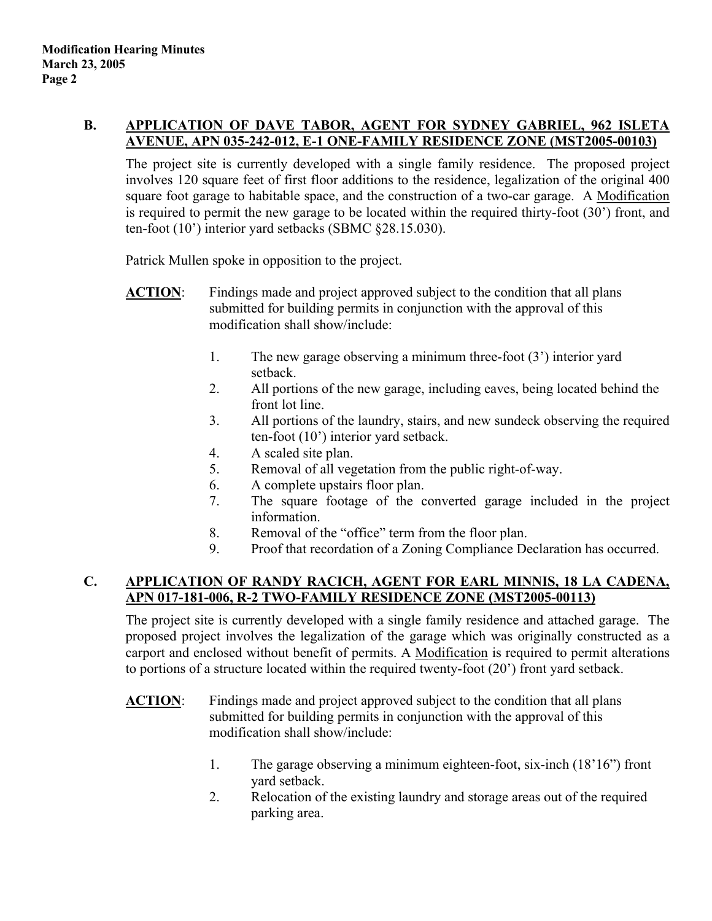## **B. APPLICATION OF DAVE TABOR, AGENT FOR SYDNEY GABRIEL, 962 ISLETA AVENUE, APN 035-242-012, E-1 ONE-FAMILY RESIDENCE ZONE (MST2005-00103)**

The project site is currently developed with a single family residence. The proposed project involves 120 square feet of first floor additions to the residence, legalization of the original 400 square foot garage to habitable space, and the construction of a two-car garage. A Modification is required to permit the new garage to be located within the required thirty-foot (30') front, and ten-foot (10') interior yard setbacks (SBMC §28.15.030).

Patrick Mullen spoke in opposition to the project.

- **ACTION**: Findings made and project approved subject to the condition that all plans submitted for building permits in conjunction with the approval of this modification shall show/include:
	- 1. The new garage observing a minimum three-foot (3') interior yard setback.
	- 2. All portions of the new garage, including eaves, being located behind the front lot line.
	- 3. All portions of the laundry, stairs, and new sundeck observing the required ten-foot (10') interior yard setback.
	- 4. A scaled site plan.
	- 5. Removal of all vegetation from the public right-of-way.
	- 6. A complete upstairs floor plan.
	- 7. The square footage of the converted garage included in the project information.
	- 8. Removal of the "office" term from the floor plan.
	- 9. Proof that recordation of a Zoning Compliance Declaration has occurred.

# **C. APPLICATION OF RANDY RACICH, AGENT FOR EARL MINNIS, 18 LA CADENA, APN 017-181-006, R-2 TWO-FAMILY RESIDENCE ZONE (MST2005-00113)**

The project site is currently developed with a single family residence and attached garage. The proposed project involves the legalization of the garage which was originally constructed as a carport and enclosed without benefit of permits. A Modification is required to permit alterations to portions of a structure located within the required twenty-foot (20') front yard setback.

- **ACTION:** Findings made and project approved subject to the condition that all plans submitted for building permits in conjunction with the approval of this modification shall show/include:
	- 1. The garage observing a minimum eighteen-foot, six-inch (18'16") front yard setback.
	- 2. Relocation of the existing laundry and storage areas out of the required parking area.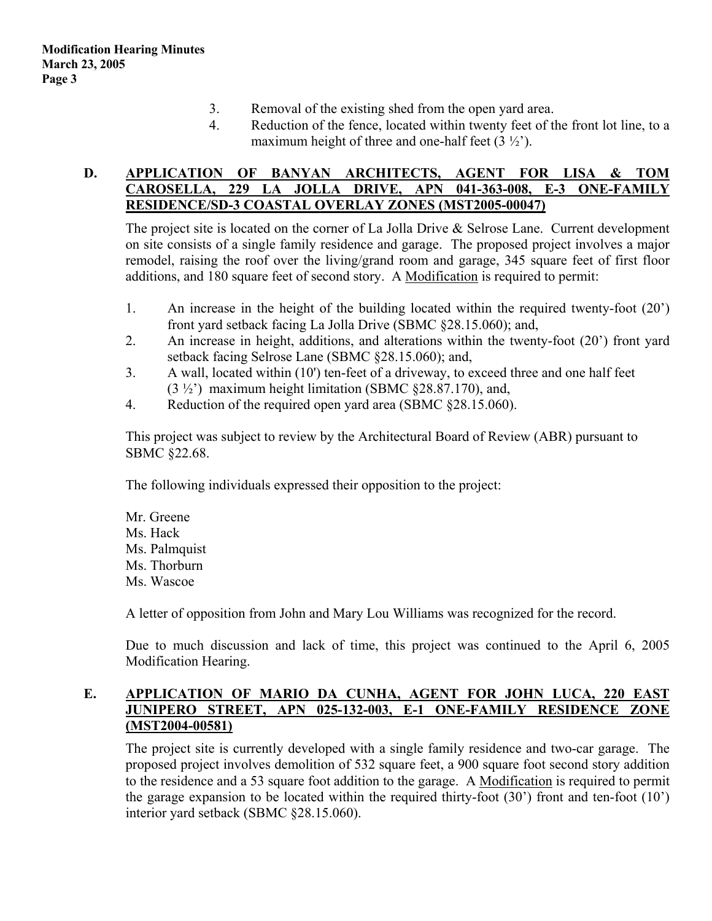- 3. Removal of the existing shed from the open yard area.
- 4. Reduction of the fence, located within twenty feet of the front lot line, to a maximum height of three and one-half feet  $(3 \frac{1}{2})$ .

## **D. APPLICATION OF BANYAN ARCHITECTS, AGENT FOR LISA & TOM CAROSELLA, 229 LA JOLLA DRIVE, APN 041-363-008, E-3 ONE-FAMILY RESIDENCE/SD-3 COASTAL OVERLAY ZONES (MST2005-00047)**

The project site is located on the corner of La Jolla Drive & Selrose Lane. Current development on site consists of a single family residence and garage. The proposed project involves a major remodel, raising the roof over the living/grand room and garage, 345 square feet of first floor additions, and 180 square feet of second story. A Modification is required to permit:

- 1. An increase in the height of the building located within the required twenty-foot (20') front yard setback facing La Jolla Drive (SBMC §28.15.060); and,
- 2. An increase in height, additions, and alterations within the twenty-foot (20') front yard setback facing Selrose Lane (SBMC §28.15.060); and,
- 3. A wall, located within (10') ten-feet of a driveway, to exceed three and one half feet (3 ½') maximum height limitation (SBMC §28.87.170), and,
- 4. Reduction of the required open yard area (SBMC §28.15.060).

This project was subject to review by the Architectural Board of Review (ABR) pursuant to SBMC §22.68.

The following individuals expressed their opposition to the project:

Mr. Greene Ms. Hack Ms. Palmquist Ms. Thorburn Ms. Wascoe

A letter of opposition from John and Mary Lou Williams was recognized for the record.

Due to much discussion and lack of time, this project was continued to the April 6, 2005 Modification Hearing.

### **E. APPLICATION OF MARIO DA CUNHA, AGENT FOR JOHN LUCA, 220 EAST JUNIPERO STREET, APN 025-132-003, E-1 ONE-FAMILY RESIDENCE ZONE (MST2004-00581)**

The project site is currently developed with a single family residence and two-car garage. The proposed project involves demolition of 532 square feet, a 900 square foot second story addition to the residence and a 53 square foot addition to the garage. A Modification is required to permit the garage expansion to be located within the required thirty-foot  $(30')$  front and ten-foot  $(10')$ interior yard setback (SBMC §28.15.060).